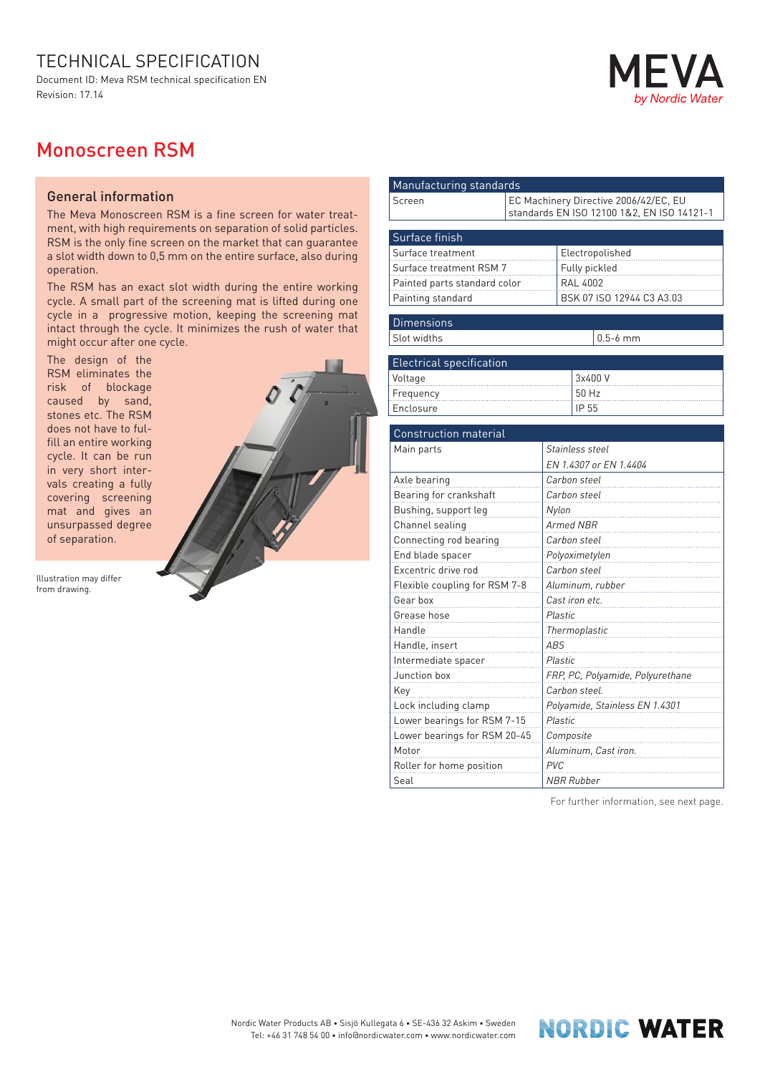## TECHNICAL SPECIFICATION

Document ID: Meva RSM technical specification EN Revision: 17.14

## Nordic Wate

## Monoscreen RSM

## General information

The Meva Monoscreen RSM is a fine screen for water treatment, with high requirements on separation of solid particles. RSM is the only fine screen on the market that can guarantee a slot width down to 0,5 mm on the entire surface, also during operation.

The RSM has an exact slot width during the entire working cycle. A small part of the screening mat is lifted during one cycle in a progressive motion, keeping the screening mat intact through the cycle. It minimizes the rush of water that might occur after one cycle.

The design of the RSM eliminates the risk of blockage caused by sand, stones etc. The RSM does not have to fulfill an entire working cycle. It can be run in very short intervals creating a fully covering screening mat and gives an unsurpassed degree of separation.

Illustration may differ from drawing.



| Manufacturing standards                                                                           |                                                                                     |  |  |
|---------------------------------------------------------------------------------------------------|-------------------------------------------------------------------------------------|--|--|
| Screen                                                                                            | EC Machinery Directive 2006/42/EC, EU<br>standards EN ISO 12100 1&2, EN ISO 14121-1 |  |  |
| Surface finish                                                                                    |                                                                                     |  |  |
| Surface treatment<br>Surface treatment RSM 7<br>Painted parts standard color<br>Painting standard | Electropolished<br>Fully pickled<br><b>RAL 4002</b><br>BSK 07 ISO 12944 C3 A3.03    |  |  |
| <b>Dimensions</b>                                                                                 |                                                                                     |  |  |
| Slot widths                                                                                       | $0.5-6$ mm                                                                          |  |  |
|                                                                                                   |                                                                                     |  |  |
| <b>Electrical specification</b>                                                                   |                                                                                     |  |  |
| Voltage                                                                                           | 3x400 V<br>50 Hz                                                                    |  |  |
| Frequency<br>Enclosure                                                                            | IP 55                                                                               |  |  |
|                                                                                                   |                                                                                     |  |  |
| <b>Construction material</b>                                                                      |                                                                                     |  |  |
| Main parts                                                                                        | Stainless steel                                                                     |  |  |
|                                                                                                   | EN 1.4307 or EN 1.4404                                                              |  |  |
| Axle bearing                                                                                      | Carbon steel                                                                        |  |  |
| Bearing for crankshaft                                                                            | Carbon steel                                                                        |  |  |
| Bushing, support leg                                                                              | Nylon                                                                               |  |  |
| Channel sealing                                                                                   | <b>Armed NBR</b>                                                                    |  |  |
| Connecting rod bearing                                                                            | Carbon steel                                                                        |  |  |
| End blade spacer                                                                                  | Polyoximetylen                                                                      |  |  |
| Excentric drive rod                                                                               | Carbon steel                                                                        |  |  |
| Flexible coupling for RSM 7-8                                                                     | Aluminum, rubber                                                                    |  |  |
| Gear box                                                                                          | Cast iron etc.                                                                      |  |  |
| Grease hose                                                                                       | <b>Plastic</b>                                                                      |  |  |
| Handle                                                                                            | Thermoplastic                                                                       |  |  |
| Handle, insert                                                                                    | ABS                                                                                 |  |  |
| Intermediate spacer                                                                               | Plastic                                                                             |  |  |
| Junction box                                                                                      | FRP, PC, Polyamide, Polyurethane                                                    |  |  |
| Key                                                                                               | Carbon steel.                                                                       |  |  |
| Lock including clamp                                                                              | Polyamide, Stainless EN 1.4301                                                      |  |  |
| Lower bearings for RSM 7-15                                                                       | Plastic                                                                             |  |  |
| Lower bearings for RSM 20-45                                                                      | Composite                                                                           |  |  |
| Motor                                                                                             | Aluminum, Cast iron.                                                                |  |  |
| Roller for home position                                                                          | <b>PVC</b>                                                                          |  |  |
| Seal                                                                                              | NBR Rubber                                                                          |  |  |

For further information, see next page.

**NORDIC WATER**